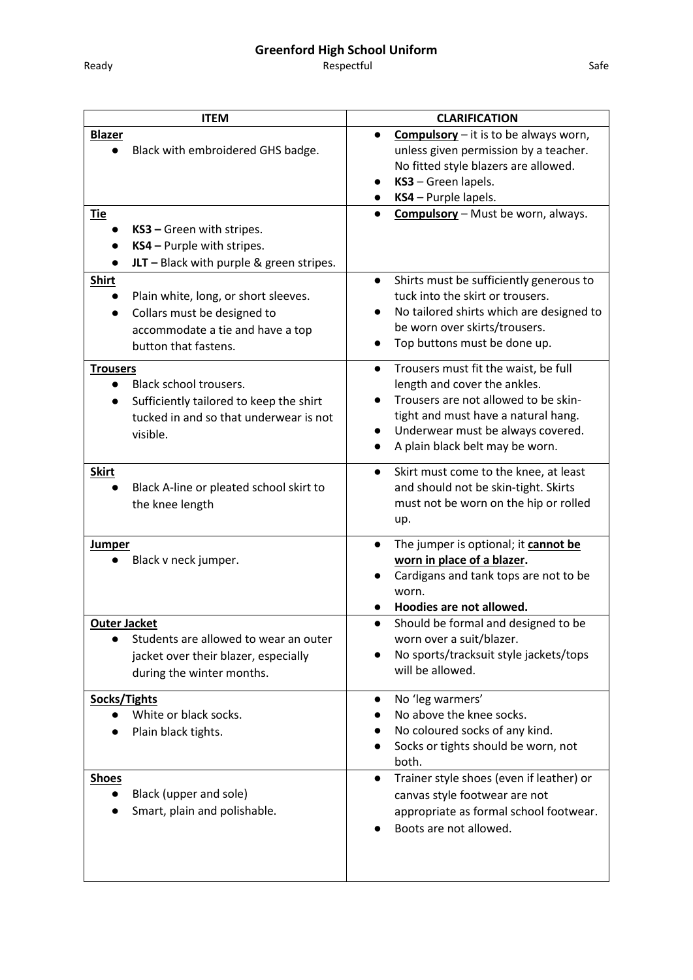## **Greenford High School Uniform**

Respectful and the same state of the Safe Safe

| <b>ITEM</b>                                                                                                                                                               | <b>CLARIFICATION</b>                                                                                                                                                                                                                                               |
|---------------------------------------------------------------------------------------------------------------------------------------------------------------------------|--------------------------------------------------------------------------------------------------------------------------------------------------------------------------------------------------------------------------------------------------------------------|
| <b>Blazer</b><br>Black with embroidered GHS badge.<br>$\bullet$                                                                                                           | <b>Compulsory</b> $-$ it is to be always worn,<br>unless given permission by a teacher.<br>No fitted style blazers are allowed.<br>KS3 - Green lapels.<br>KS4 - Purple lapels.                                                                                     |
| Tie<br>KS3 - Green with stripes.<br>KS4 - Purple with stripes.<br>JLT $-$ Black with purple & green stripes.                                                              | <b>Compulsory</b> - Must be worn, always.                                                                                                                                                                                                                          |
| <b>Shirt</b><br>Plain white, long, or short sleeves.<br>$\bullet$<br>Collars must be designed to<br>$\bullet$<br>accommodate a tie and have a top<br>button that fastens. | Shirts must be sufficiently generous to<br>$\bullet$<br>tuck into the skirt or trousers.<br>No tailored shirts which are designed to<br>be worn over skirts/trousers.<br>Top buttons must be done up.                                                              |
| <b>Trousers</b><br>Black school trousers.<br>$\bullet$<br>Sufficiently tailored to keep the shirt<br>tucked in and so that underwear is not<br>visible.                   | Trousers must fit the waist, be full<br>$\bullet$<br>length and cover the ankles.<br>Trousers are not allowed to be skin-<br>tight and must have a natural hang.<br>Underwear must be always covered.<br>$\bullet$<br>A plain black belt may be worn.<br>$\bullet$ |
| <b>Skirt</b><br>Black A-line or pleated school skirt to<br>the knee length                                                                                                | Skirt must come to the knee, at least<br>$\bullet$<br>and should not be skin-tight. Skirts<br>must not be worn on the hip or rolled<br>up.                                                                                                                         |
| <b>Jumper</b><br>Black v neck jumper.                                                                                                                                     | The jumper is optional; it cannot be<br>$\bullet$<br>worn in place of a blazer.<br>Cardigans and tank tops are not to be<br>worn.<br>Hoodies are not allowed.                                                                                                      |
| Outer Jacket                                                                                                                                                              | Should be formal and designed to be<br>$\bullet$                                                                                                                                                                                                                   |
| Students are allowed to wear an outer<br>jacket over their blazer, especially<br>during the winter months.                                                                | worn over a suit/blazer.<br>No sports/tracksuit style jackets/tops<br>will be allowed.                                                                                                                                                                             |
| Socks/Tights<br>White or black socks.<br>Plain black tights.                                                                                                              | No 'leg warmers'<br>No above the knee socks.<br>No coloured socks of any kind.<br>Socks or tights should be worn, not<br>both.                                                                                                                                     |
| <b>Shoes</b><br>Black (upper and sole)<br>$\bullet$<br>Smart, plain and polishable.                                                                                       | Trainer style shoes (even if leather) or<br>canvas style footwear are not<br>appropriate as formal school footwear.<br>Boots are not allowed.                                                                                                                      |